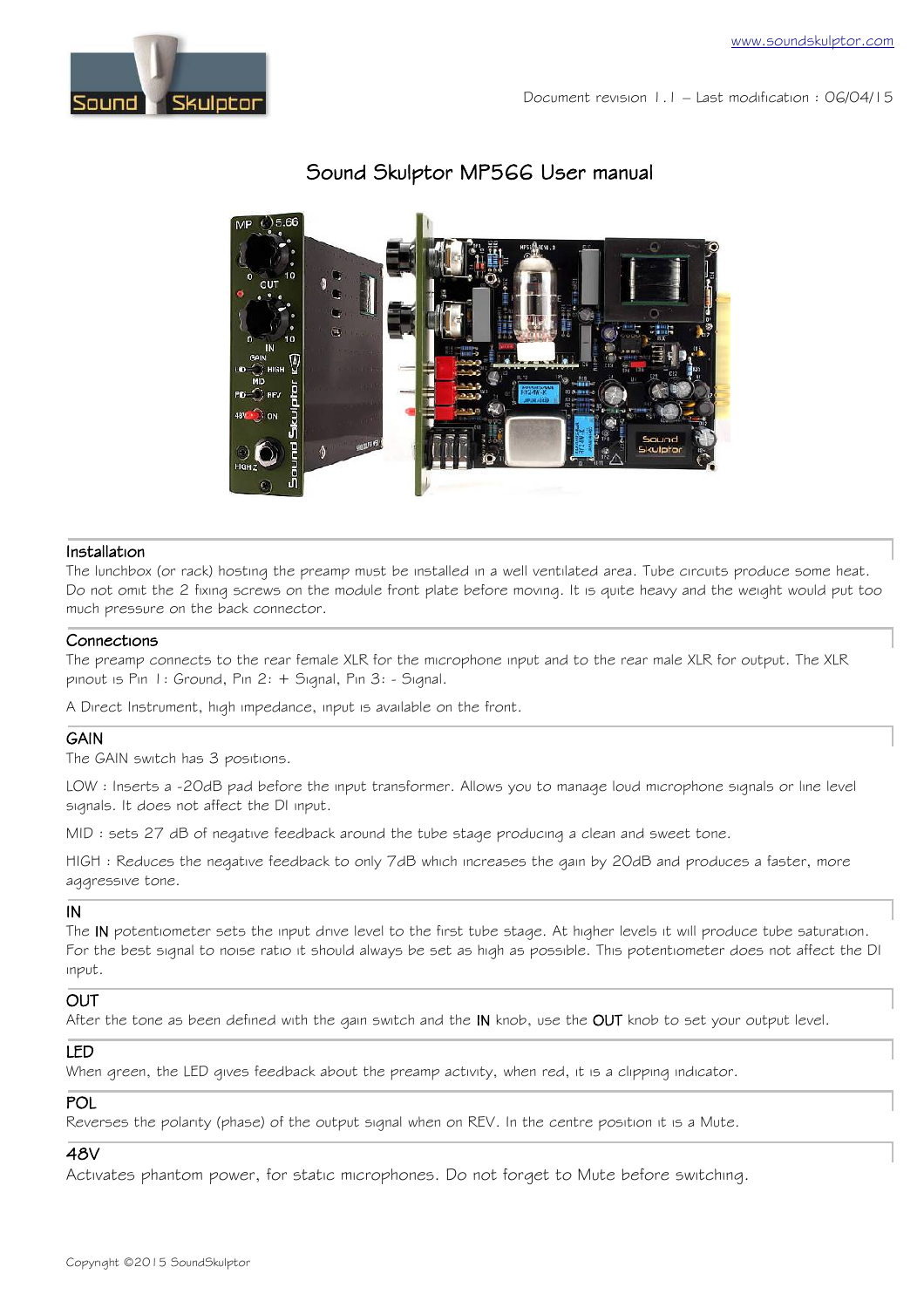

## Document revision 1.1 – Last modification : 06/04/15



# Sound Skulptor MP566 User manual

#### Installation

The lunchbox (or rack) hosting the preamp must be installed in a well ventilated area. Tube circuits produce some heat. Do not omit the 2 fixing screws on the module front plate before moving. It is quite heavy and the weight would put too much pressure on the back connector.

### Connections

The preamp connects to the rear female XLR for the microphone input and to the rear male XLR for output. The XLR pinout is Pin 1: Ground, Pin 2: + Signal, Pin 3: - Signal.

A Direct Instrument, high impedance, input is available on the front.

### GAIN

The GAIN switch has 3 positions.

LOW : Inserts a -20dB pad before the input transformer. Allows you to manage loud microphone signals or line level signals. It does not affect the DI input.

MID : sets 27 dB of negative feedback around the tube stage producing a clean and sweet tone.

HIGH : Reduces the negative feedback to only 7dB which increases the gain by 20dB and produces a faster, more aggressive tone.

### IN

The IN potentiometer sets the input drive level to the first tube stage. At higher levels it will produce tube saturation. For the best signal to noise ratio it should always be set as high as possible. This potentiometer does not affect the DI input.

## OUT

After the tone as been defined with the gain switch and the IN knob, use the OUT knob to set your output level.

### LED

When green, the LED gives feedback about the preamp activity, when red, it is a clipping indicator.

#### POL

Reverses the polarity (phase) of the output signal when on REV. In the centre position it is a Mute.

## 48V

Activates phantom power, for static microphones. Do not forget to Mute before switching.